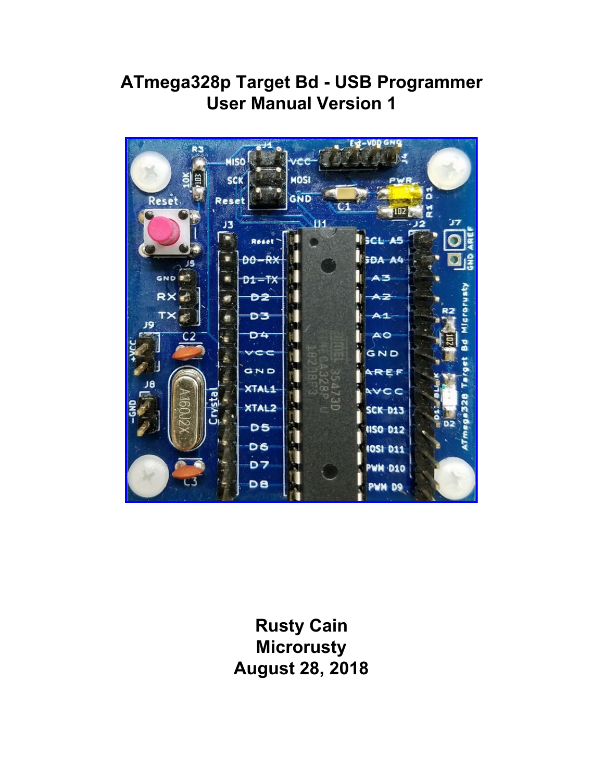# **ATmega328p Target Bd - USB Programmer User Manual Version 1**



**Rusty Cain Microrusty August 28, 2018**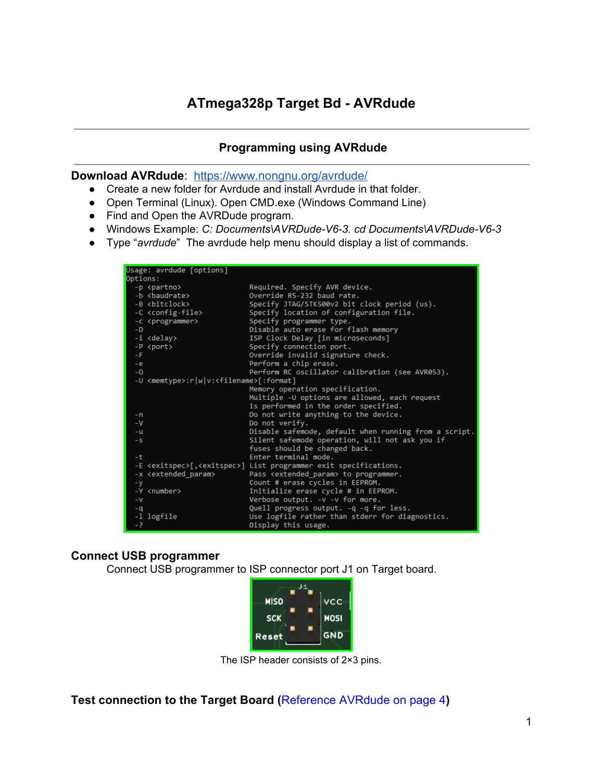### **Programming using AVRdude**

**Download AVRdude**: <https://www.nongnu.org/avrdude/>

- Create a new folder for Avrdude and install Avrdude in that folder.
- Open Terminal (Linux). Open CMD.exe (Windows Command Line)
- Find and Open the AVRDude program.
- Windows Example: *C: Documents\AVRDude-V6-3. cd Documents\AVRDude-V6-3*
- Type "*avrdude*" The avrdude help menu should display a list of commands.

|          | Usage: avrdude [options]                                    |                                                                                       |
|----------|-------------------------------------------------------------|---------------------------------------------------------------------------------------|
| Options: |                                                             |                                                                                       |
|          | -p <partno></partno>                                        | Required. Specify AVR device.                                                         |
|          | -b <baudrate></baudrate>                                    | Override RS-232 baud rate.                                                            |
|          | -B <bitclock></bitclock>                                    | Specify JTAG/STK500v2 bit clock period (us).                                          |
|          | -C <config-file></config-file>                              | Specify location of configuration file.                                               |
|          | -c <programmer></programmer>                                | Specify programmer type.                                                              |
| $-D$     |                                                             | Disable auto erase for flash memory                                                   |
|          | -i <delay></delay>                                          | ISP Clock Delay [in microseconds]                                                     |
|          | -P <port></port>                                            | Specify connection port.                                                              |
| -F       |                                                             | Override invalid signature check.                                                     |
| $-e$     |                                                             | Perform a chip erase.                                                                 |
| $-0$     |                                                             | Perform RC oscillator calibration (see AVR053).                                       |
|          | -U <memtype>:r w v:<filename>[:format]</filename></memtype> |                                                                                       |
|          |                                                             | Memory operation specification.                                                       |
|          |                                                             | Multiple -U options are allowed, each request                                         |
|          |                                                             | is performed in the order specified.                                                  |
| $-n$     |                                                             | Do not write anything to the device.                                                  |
| $-V$     |                                                             | Do not verify.                                                                        |
| $-u$     |                                                             | Disable safemode, default when running from a script.                                 |
| $-5$     |                                                             | Silent safemode operation, will not ask you if                                        |
|          |                                                             | fuses should be changed back.                                                         |
| $-t$     |                                                             | Enter terminal mode.                                                                  |
|          |                                                             | -E <exitspec>[,<exitspec>] List programmer exit specifications.</exitspec></exitspec> |
|          | -x <extended param=""></extended>                           | Pass <extended param=""> to programmer.</extended>                                    |
| $-y$     |                                                             | Count # erase cycles in EEPROM.                                                       |
|          | -Y <number></number>                                        | Initialize erase cycle # in EEPROM.                                                   |
| $-v$     |                                                             | Verbose output. -v -v for more.                                                       |
| $-q$     |                                                             | Quell progress output. -q -q for less.                                                |
|          | -1 logfile                                                  | Use logfile rather than stderr for diagnostics.                                       |
| $-2$     |                                                             | Display this usage.                                                                   |

### **Connect USB programmer**

Connect USB programmer to ISP connector port J1 on Target board.



The ISP header consists of 2×3 pins.

**Test connection to the Target Board (**Reference AVRdude on page 4**)**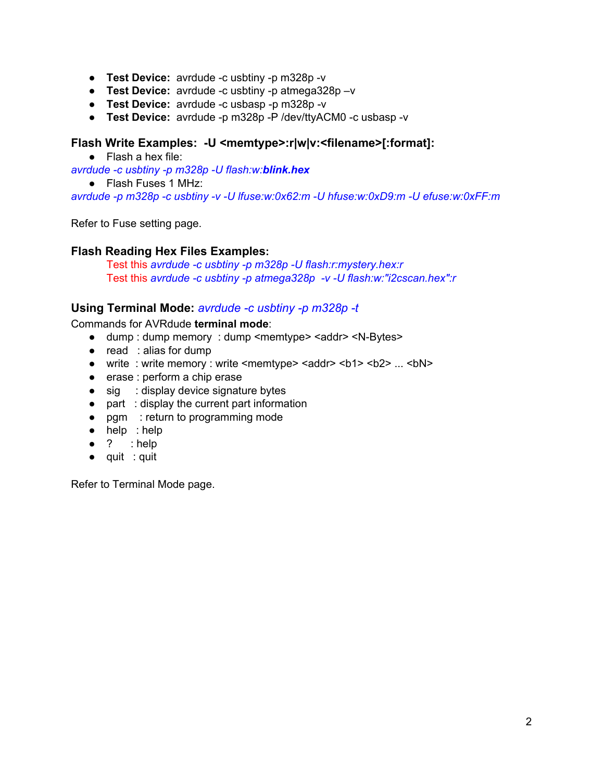- **Test Device:** avrdude -c usbtiny -p m328p -v
- **Test Device:** avrdude -c usbtiny -p atmega328p –v
- **Test Device:** avrdude -c usbasp -p m328p -v
- **Test Device:** avrdude -p m328p -P /dev/ttyACM0 -c usbasp -v

### **Flash Write Examples: -U <memtype>:r|w|v:<filename>[:format]:**

● Flash a hex file:

*avrdude -c usbtiny -p m328p -U flash:w:blink.hex*

● Flash Fuses 1 MHz:

*avrdude -p m328p -c usbtiny -v -U lfuse:w:0x62:m -U hfuse:w:0xD9:m -U efuse:w:0xFF:m*

Refer to Fuse setting page.

### **Flash Reading Hex Files Examples:**

Test this *avrdude -c usbtiny -p m328p -U flash:r:mystery.hex:r* Test this *avrdude -c usbtiny -p atmega328p -v -U flash:w:"i2cscan.hex":r*

### **Using Terminal Mode:** *avrdude -c usbtiny -p m328p -t*

Commands for AVRdude **terminal mode**:

- dump : dump memory : dump <memtype> <addr> <N-Bytes>
- read : alias for dump
- write : write memory : write <memtype> <addr> <br/> <br/>bd> ... <br/> <br/>shold-
- erase : perform a chip erase
- sig : display device signature bytes
- part : display the current part information
- pgm : return to programming mode
- help : help
- $\bullet$  ? : help
- quit : quit

Refer to Terminal Mode page.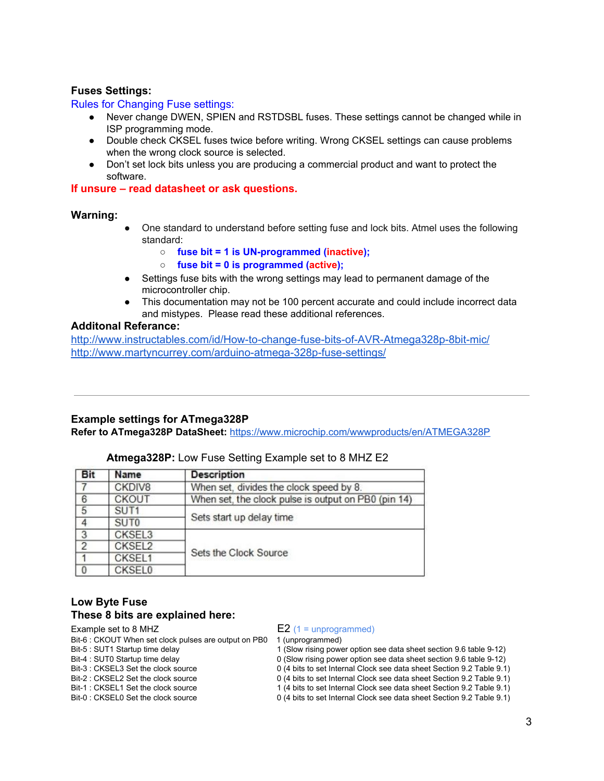#### **Fuses Settings:**

#### Rules for Changing Fuse settings:

- Never change DWEN, SPIEN and RSTDSBL fuses. These settings cannot be changed while in ISP programming mode.
- Double check CKSEL fuses twice before writing. Wrong CKSEL settings can cause problems when the wrong clock source is selected.
- Don't set lock bits unless you are producing a commercial product and want to protect the software.

**If unsure – read datasheet or ask questions.**

#### **Warning:**

- One standard to understand before setting fuse and lock bits. Atmel uses the following standard:
	- **○ fuse bit = 1 is UN-programmed (inactive);**
	- **○ fuse bit = 0 is programmed (active);**
- Settings fuse bits with the wrong settings may lead to permanent damage of the microcontroller chip.
- This documentation may not be 100 percent accurate and could include incorrect data and mistypes. Please read these additional references.

#### **Additonal Referance[:](http://www.instructables.com/id/How-to-change-fuse-bits-of-AVR-Atmega328p-8bit-mic/)**

<http://www.instructables.com/id/How-to-change-fuse-bits-of-AVR-Atmega328p-8bit-mic/> <http://www.martyncurrey.com/arduino-atmega-328p-fuse-settings/>

#### **Example settings for ATmega328P**

**Refer to ATmega328P DataSheet:** <https://www.microchip.com/wwwproducts/en/ATMEGA328P>

| <b>Bit</b>     | Name             | <b>Description</b>                                  |
|----------------|------------------|-----------------------------------------------------|
| 7              | CKDIV8           | When set, divides the clock speed by 8.             |
| $6\phantom{1}$ | <b>CKOUT</b>     | When set, the clock pulse is output on PB0 (pin 14) |
| 5              | SUT <sub>1</sub> |                                                     |
|                | SUT <sub>0</sub> | Sets start up delay time                            |
| 3              | CKSEL3           |                                                     |
| $\overline{2}$ | CKSEL2           |                                                     |
|                | CKSEL1           | Sets the Clock Source                               |
| 0              | <b>CKSEL0</b>    |                                                     |

### **Atmega328P:** Low Fuse Setting Example set to 8 MHZ E2

### **Low Byte Fuse These 8 bits are explained here:**

- 
- Bit-6 : CKOUT When set clock pulses are output on PB0 1 (unprogrammed)<br>Bit-5 : SUT1 Startup time delay 1 (Slow rising power
- 
- 
- 
- 
- 

#### Example set to 8 MHZ  $E2$  (1 = unprogrammed)

- 1 (Slow rising power option see data sheet section 9.6 table 9-12)
- Bit-4 : SUT0 Startup time delay  $0$  (Slow rising power option see data sheet section 9.6 table 9-12)
- Bit-3 : CKSEL3 Set the clock source 0 (4 bits to set Internal Clock see data sheet Section 9.2 Table 9.1)
- Bit-2 : CKSEL2 Set the clock source 0 (4 bits to set Internal Clock see data sheet Section 9.2 Table 9.1)<br>Bit-1 : CKSEL1 Set the clock source 1 (4 bits to set Internal Clock see data sheet Section 9.2 Table 9.1) 1 (4 bits to set Internal Clock see data sheet Section 9.2 Table 9.1)
- Bit-0 : CKSEL0 Set the clock source 0 (4 bits to set Internal Clock see data sheet Section 9.2 Table 9.1)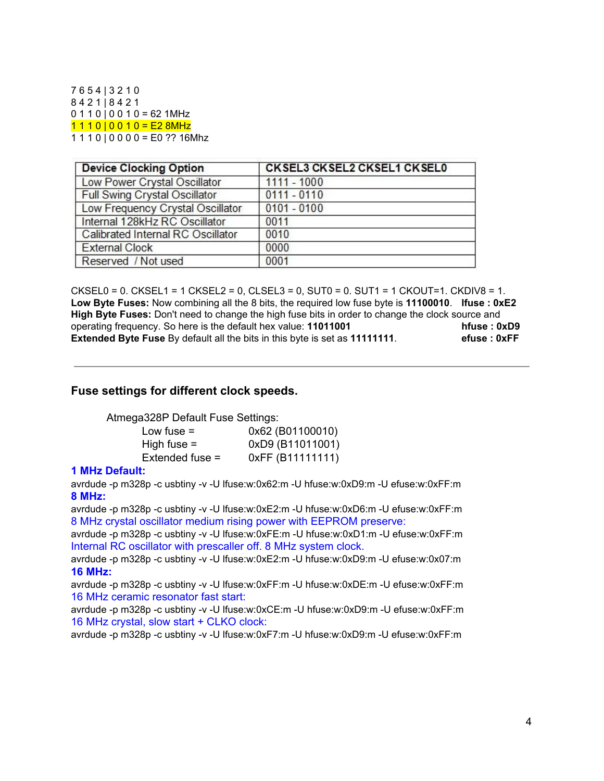7 6 5 4 | 3 2 1 0 8 4 2 1 | 8 4 2 1  $0110|0010 = 621$ MHz  $1110|0010 = E28MHz$  $1 1 1 0 | 0 0 0 0 = E0$  ?? 16Mhz

| <b>Device Clocking Option</b>     | <b>CKSEL3 CKSEL2 CKSEL1 CKSEL0</b> |  |  |  |  |
|-----------------------------------|------------------------------------|--|--|--|--|
| Low Power Crystal Oscillator      | $1111 - 1000$                      |  |  |  |  |
| Full Swing Crystal Oscillator     | $0111 - 0110$                      |  |  |  |  |
| Low Frequency Crystal Oscillator  | $0101 - 0100$                      |  |  |  |  |
| Internal 128kHz RC Oscillator     | 0011                               |  |  |  |  |
| Calibrated Internal RC Oscillator | 0010                               |  |  |  |  |
| <b>External Clock</b>             | 0000                               |  |  |  |  |
| Reserved / Not used               | 0001                               |  |  |  |  |

CKSEL0 = 0. CKSEL1 = 1 CKSEL2 = 0, CLSEL3 = 0, SUT0 = 0. SUT1 = 1 CKOUT=1. CKDIV8 = 1. **Low Byte Fuses:** Now combining all the 8 bits, the required low fuse byte is **11100010**. **lfuse : 0xE2 High Byte Fuses:** Don't need to change the high fuse bits in order to change the clock source and operating frequency. So here is the default hex value: **11011001 hfuse : 0xD9 Extended Byte Fuse** By default all the bits in this byte is set as **11111111**. **efuse : 0xFF**

#### **Fuse settings for different clock speeds.**

Atmega328P Default Fuse Settings:

| 0x62 (B01100010) |
|------------------|
| 0xD9 (B11011001) |
| 0xFF (B11111111) |
|                  |

#### **1 MHz Default:**

avrdude -p m328p -c usbtiny -v -U lfuse:w:0x62:m -U hfuse:w:0xD9:m -U efuse:w:0xFF:m **8 MHz:**

avrdude -p m328p -c usbtiny -v -U lfuse:w:0xE2:m -U hfuse:w:0xD6:m -U efuse:w:0xFF:m 8 MHz crystal oscillator medium rising power with EEPROM preserve:

avrdude -p m328p -c usbtiny -v -U lfuse:w:0xFE:m -U hfuse:w:0xD1:m -U efuse:w:0xFF:m Internal RC oscillator with prescaller off. 8 MHz system clock.

avrdude -p m328p -c usbtiny -v -U lfuse:w:0xE2:m -U hfuse:w:0xD9:m -U efuse:w:0x07:m **16 MHz:**

avrdude -p m328p -c usbtiny -v -U lfuse:w:0xFF:m -U hfuse:w:0xDE:m -U efuse:w:0xFF:m 16 MHz ceramic resonator fast start:

avrdude -p m328p -c usbtiny -v -U lfuse:w:0xCE:m -U hfuse:w:0xD9:m -U efuse:w:0xFF:m 16 MHz crystal, slow start + CLKO clock:

avrdude -p m328p -c usbtiny -v -U lfuse:w:0xF7:m -U hfuse:w:0xD9:m -U efuse:w:0xFF:m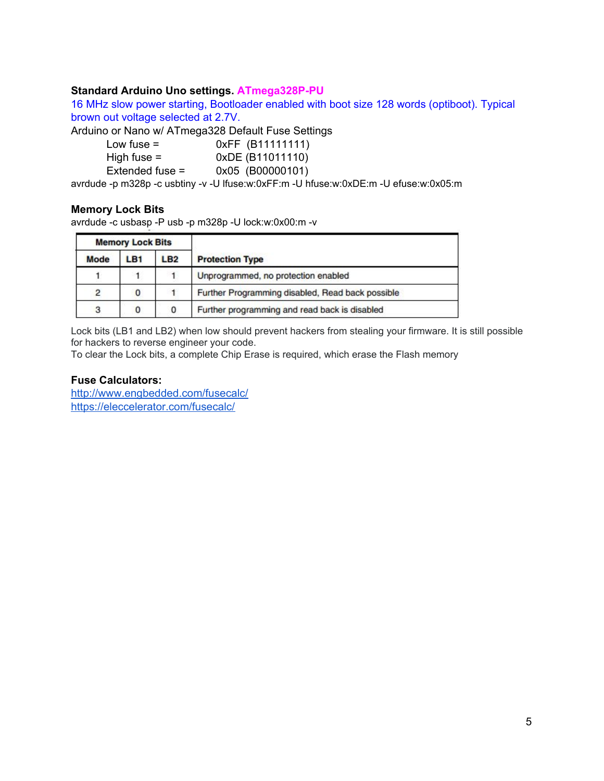### **Standard Arduino Uno settings. ATmega328P-PU**

16 MHz slow power starting, Bootloader enabled with boot size 128 words (optiboot). Typical brown out voltage selected at 2.7V.

Arduino or Nano w/ ATmega328 Default Fuse Settings

| Low fuse $=$    | 0xFF (B11111111) |
|-----------------|------------------|
| High fuse $=$   | 0xDE (B11011110) |
| Extended fuse = | 0x05 (B00000101) |
|                 |                  |

avrdude -p m328p -c usbtiny -v -U lfuse:w:0xFF:m -U hfuse:w:0xDE:m -U efuse:w:0x05:m

### **Memory Lock Bits**

avrdude -c usbasp -P usb -p m328p -U lock:w:0x00:m -v

| <b>Memory Lock Bits</b> |     |                 |                                                  |
|-------------------------|-----|-----------------|--------------------------------------------------|
| Mode                    | LB1 | LB <sub>2</sub> | <b>Protection Type</b>                           |
|                         |     |                 | Unprogrammed, no protection enabled              |
| $\mathfrak{p}$          | 0   |                 | Further Programming disabled, Read back possible |
| 3                       | 0   | 0               | Further programming and read back is disabled    |

Lock bits (LB1 and LB2) when low should prevent hackers from stealing your firmware. It is still possible for hackers to reverse engineer your code.

To clear the Lock bits, a complete Chip Erase is required, which erase the Flash memory

### **Fuse Calculators[:](http://www.engbedded.com/fusecalc/)**

<http://www.engbedded.com/fusecalc/> <https://eleccelerator.com/fusecalc/>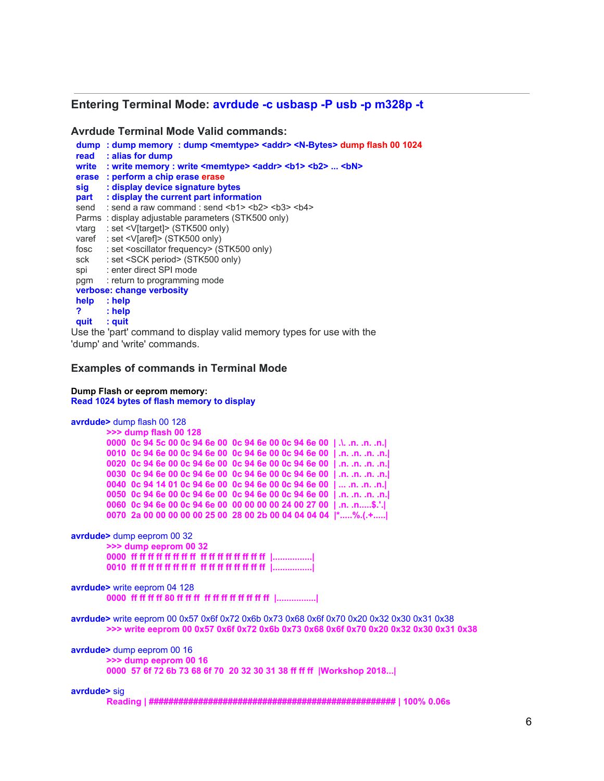#### **Entering Terminal Mode: avrdude -c usbasp -P usb -p m328p -t**

**Avrdude Terminal Mode Valid commands:**

| : alias for dump<br>read<br>: write memory : write <memtype> <addr> <br/> <br/>b1&gt; <br/> <br/> <br/>bN&gt;  <br/> <br>bN&gt;<br>write<br/>: perform a chip erase erase<br/>erase<br/>: display device signature bytes<br/>sig<br/>: display the current part information<br/>part<br/>: send a raw command : send <b1> <b2> <b3> <b4><br/>send</b4></b3></b2></b1></br></br></addr></memtype> |
|--------------------------------------------------------------------------------------------------------------------------------------------------------------------------------------------------------------------------------------------------------------------------------------------------------------------------------------------------------------------------------------------------|
|                                                                                                                                                                                                                                                                                                                                                                                                  |
|                                                                                                                                                                                                                                                                                                                                                                                                  |
|                                                                                                                                                                                                                                                                                                                                                                                                  |
|                                                                                                                                                                                                                                                                                                                                                                                                  |
|                                                                                                                                                                                                                                                                                                                                                                                                  |
|                                                                                                                                                                                                                                                                                                                                                                                                  |
| Parms: display adjustable parameters (STK500 only)                                                                                                                                                                                                                                                                                                                                               |
| : set <v[target]> (STK500 only)<br/>vtarg</v[target]>                                                                                                                                                                                                                                                                                                                                            |
| : set <v[aref]> (STK500 only)<br/>varef</v[aref]>                                                                                                                                                                                                                                                                                                                                                |
| : set <oscillator frequency=""> (STK500 only)<br/>fosc</oscillator>                                                                                                                                                                                                                                                                                                                              |
| : set <sck period=""> (STK500 only)<br/>sck</sck>                                                                                                                                                                                                                                                                                                                                                |
| : enter direct SPI mode<br>spi                                                                                                                                                                                                                                                                                                                                                                   |
| : return to programming mode<br>pgm                                                                                                                                                                                                                                                                                                                                                              |
| verbose: change verbosity                                                                                                                                                                                                                                                                                                                                                                        |
| help<br>$:$ help                                                                                                                                                                                                                                                                                                                                                                                 |
| ?<br>$:$ help                                                                                                                                                                                                                                                                                                                                                                                    |
| quit<br>: quit                                                                                                                                                                                                                                                                                                                                                                                   |

Use the 'part' command to display valid memory types for use with the 'dump' and 'write' commands.

#### **Examples of commands in Terminal Mode**

**Dump Flash or eeprom memory: Read 1024 bytes of flash memory to display**

```
avrdude> dump flash 00 128
        >>> dump flash 00 128
        0000 0c 94 5c 00 0c 94 6e 00 0c 94 6e 00 0c 94 6e 00 | .\. .n. .n. .n.|
        0010 0c 94 6e 00 0c 94 6e 00 0c 94 6e 00 0c 94 6e 00 | .n. .n. .n. .n.|
        0020 0c 94 6e 00 0c 94 6e 00 0c 94 6e 00 0c 94 6e 00 | .n. .n. .n. .n.|
        0030 0c 94 6e 00 0c 94 6e 00 0c 94 6e 00 0c 94 6e 00 | .n. .n. .n. .n.|
        0040 0c 94 14 01 0c 94 6e 00 0c 94 6e 00 0c 94 6e 00 | ... .n. .n. .n.|
        0050 0c 94 6e 00 0c 94 6e 00 0c 94 6e 00 0c 94 6e 00 | .n. .n. .n. .n.|
        0060 0c 94 6e 00 0c 94 6e 00 00 00 00 00 24 00 27 00 | .n. .n.....$.'.|
        0070 2a 00 00 00 00 00 25 00 28 00 2b 00 04 04 04 04 |*.....%.(.+.....|
avrdude> dump eeprom 00 32
        >>> dump eeprom 00 32
        0000 ff ff ff ff ff ff ff ff ff ff ff ff ff ff ff ff |................|
        0010 ff ff ff ff ff ff ff ff ff ff ff ff ff ff ff ff |................|
avrdude> write eeprom 04 128
         0000 ff ff ff ff 80 ff ff ff ff ff ff ff ff ff ff ff |................|
avrdude> write eeprom 00 0x57 0x6f 0x72 0x6b 0x73 0x68 0x6f 0x70 0x20 0x32 0x30 0x31 0x38
        >>> write eeprom 00 0x57 0x6f 0x72 0x6b 0x73 0x68 0x6f 0x70 0x20 0x32 0x30 0x31 0x38
avrdude> dump eeprom 00 16
         >>> dump eeprom 00 16
        0000 57 6f 72 6b 73 68 6f 70 20 32 30 31 38 ff ff ff |Workshop 2018...|
avrdude> sig
         Reading | ################################################## | 100% 0.06s
```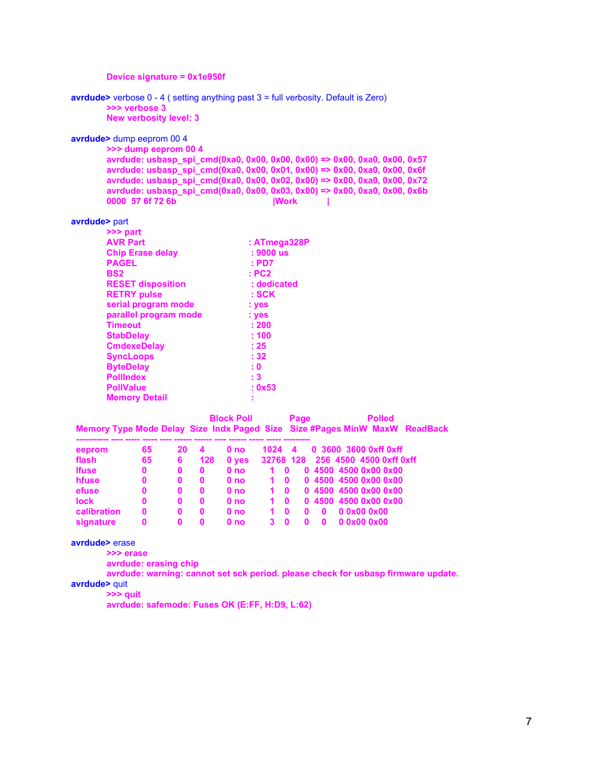|                           | Device signature = 0x1e950f            |              |                  |              |                          |                      |              |              |              |                                                                                        |  |
|---------------------------|----------------------------------------|--------------|------------------|--------------|--------------------------|----------------------|--------------|--------------|--------------|----------------------------------------------------------------------------------------|--|
|                           | >>> verbose 3                          |              |                  |              |                          |                      |              |              |              | avrdude> verbose $0 - 4$ (setting anything past $3 =$ full verbosity. Default is Zero) |  |
|                           | <b>New verbosity level: 3</b>          |              |                  |              |                          |                      |              |              |              |                                                                                        |  |
| avrdude> dump eeprom 00 4 |                                        |              |                  |              |                          |                      |              |              |              |                                                                                        |  |
|                           | >>> dump eeprom 00 4                   |              |                  |              |                          |                      |              |              |              |                                                                                        |  |
|                           |                                        |              |                  |              |                          |                      |              |              |              | avrdude: usbasp_spi_cmd(0xa0, 0x00, 0x00, 0x00) => 0x00, 0xa0, 0x00, 0x57              |  |
|                           |                                        |              |                  |              |                          |                      |              |              |              | avrdude: usbasp_spi_cmd(0xa0, 0x00, 0x01, 0x00) => 0x00, 0xa0, 0x00, 0x6f              |  |
|                           |                                        |              |                  |              |                          |                      |              |              |              | avrdude: usbasp_spi_cmd(0xa0, 0x00, 0x02, 0x00) => 0x00, 0xa0, 0x00, 0x72              |  |
|                           | 0000 57 6f 72 6b                       |              |                  |              |                          |                      | <b>IWork</b> |              |              | avrdude: usbasp_spi_cmd(0xa0, 0x00, 0x03, 0x00) => 0x00, 0xa0, 0x00, 0x6b              |  |
|                           |                                        |              |                  |              |                          |                      |              |              |              |                                                                                        |  |
| avrdude> part             |                                        |              |                  |              |                          |                      |              |              |              |                                                                                        |  |
|                           | >>> part                               |              |                  |              |                          |                      |              |              |              |                                                                                        |  |
|                           | <b>AVR Part</b>                        |              |                  |              |                          | : ATmega328P         |              |              |              |                                                                                        |  |
|                           | <b>Chip Erase delay</b>                |              |                  |              |                          | $: 9000$ us          |              |              |              |                                                                                        |  |
|                           | <b>PAGEL</b>                           |              |                  |              |                          | : P <sub>D7</sub>    |              |              |              |                                                                                        |  |
|                           | <b>BS2</b><br><b>RESET disposition</b> |              |                  |              |                          | : PC2<br>: dedicated |              |              |              |                                                                                        |  |
|                           | <b>RETRY pulse</b>                     |              |                  |              |                          | : SCK                |              |              |              |                                                                                        |  |
|                           | serial program mode                    |              |                  |              |                          | : yes                |              |              |              |                                                                                        |  |
|                           | parallel program mode                  |              |                  |              |                          | : yes                |              |              |              |                                                                                        |  |
|                           | <b>Timeout</b>                         |              |                  |              |                          | : 200                |              |              |              |                                                                                        |  |
|                           | <b>StabDelay</b>                       |              |                  |              |                          | :100                 |              |              |              |                                                                                        |  |
|                           | <b>CmdexeDelay</b>                     |              |                  |              |                          | : 25                 |              |              |              |                                                                                        |  |
|                           | <b>SyncLoops</b>                       |              |                  |              |                          | : 32                 |              |              |              |                                                                                        |  |
|                           | <b>ByteDelay</b>                       |              |                  |              | : 0                      |                      |              |              |              |                                                                                        |  |
|                           | <b>Pollindex</b>                       |              |                  |              | :3                       |                      |              |              |              |                                                                                        |  |
|                           | <b>PollValue</b>                       |              |                  |              |                          | : 0x53               |              |              |              |                                                                                        |  |
|                           | <b>Memory Detail</b>                   |              |                  |              |                          |                      |              |              |              |                                                                                        |  |
|                           |                                        |              |                  |              | <b>Block Poll</b>        |                      |              | Page         |              | <b>Polled</b>                                                                          |  |
|                           |                                        |              |                  |              |                          |                      |              |              |              | Memory Type Mode Delay Size Indx Paged Size Size #Pages MinW MaxW ReadBack             |  |
|                           |                                        |              |                  |              |                          |                      |              |              |              |                                                                                        |  |
| eeprom<br>flash           |                                        | 65<br>65     | 20               | 4<br>128     | 0 <sub>no</sub>          | 1024<br>32768 128    | 4            |              |              | 0 3600 3600 0xff 0xff<br>256 4500 4500 0xff 0xff                                       |  |
| <b>Ifuse</b>              |                                        | $\mathbf{0}$ | 6<br>$\mathbf 0$ | $\mathbf{0}$ | 0 yes<br>0 <sub>no</sub> | $\mathbf{1}$         | $\mathbf{0}$ |              |              | 0 4500 4500 0x00 0x00                                                                  |  |
| hfuse                     |                                        | $\mathbf{0}$ | $\bf{0}$         | $\mathbf 0$  | 0 no                     | $\mathbf{1}$         | $\mathbf{0}$ |              |              | 0 4500 4500 0x00 0x00                                                                  |  |
| efuse                     |                                        | $\mathbf{0}$ | $\mathbf 0$      | $\mathbf 0$  | 0 <sub>no</sub>          | $1 \quad 0$          |              |              |              | 0 4500 4500 0x00 0x00                                                                  |  |
| <b>lock</b>               |                                        | $\mathbf{0}$ | $\mathbf 0$      | $\mathbf 0$  | 0 no                     |                      | $1 \quad 0$  |              |              | 0 4500 4500 0x00 0x00                                                                  |  |
| calibration               |                                        | $\mathbf 0$  | $\mathbf 0$      | $\mathbf 0$  | 0 <sub>no</sub>          | $1\quad 0$           |              | $\mathbf{0}$ | $\mathbf{0}$ | 00x000x00                                                                              |  |
| signature                 |                                        | $\mathbf{0}$ | $\Omega$         | $\Omega$     | 0 <sub>no</sub>          | 3                    | $\mathbf{0}$ | $\mathbf{0}$ | $\mathbf{0}$ | 00x000x00                                                                              |  |
|                           |                                        |              |                  |              |                          |                      |              |              |              |                                                                                        |  |

**avrdude>** erase

**>>> erase**

**avrdude: erasing chip**

**avrdude: warning: cannot set sck period. please check for usbasp firmware update.**

**avrdude>** quit

**>>> quit**

**avrdude: safemode: Fuses OK (E:FF, H:D9, L:62)**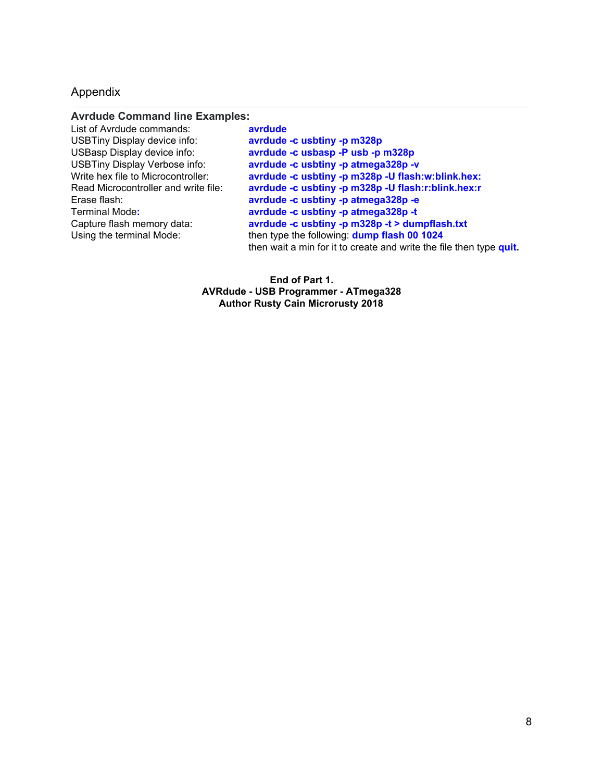### Appendix

#### **Avrdude Command line Examples:**

List of Avrdude commands: **avrdude** USBTiny Display device info: **avrdude -c usbtiny -p m328p**

USBasp Display device info: **avrdude -c usbasp -P usb -p m328p** USBTiny Display Verbose info: **avrdude -c usbtiny -p atmega328p -v** Write hex file to Microcontroller: **avrdude -c usbtiny -p m328p -U flash:w:blink.hex:** Read Microcontroller and write file: **avrdude -c usbtiny -p m328p -U flash:r:blink.hex:r** Erase flash: **avrdude -c usbtiny -p atmega328p -e** Terminal Mode**: avrdude -c usbtiny -p atmega328p -t** Capture flash memory data: **avrdude -c usbtiny -p m328p -t > dumpflash.txt** Using the terminal Mode: then type the following: **dump flash 00 1024** then wait a min for it to create and write the file then type **quit.**

> **End of Part 1. AVRdude - USB Programmer - ATmega328 Author Rusty Cain Microrusty 2018**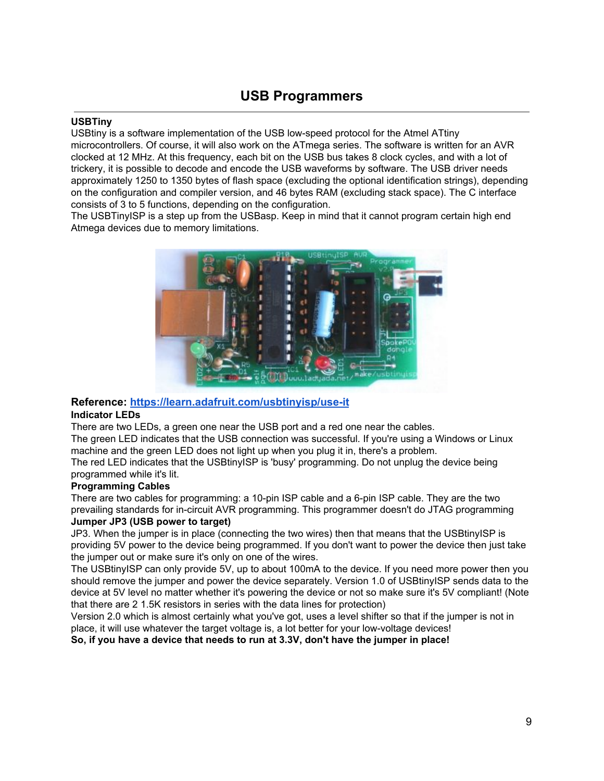# **USB Programmers**

#### **USBTiny**

USBtiny is a software implementation of the USB low-speed protocol for the Atmel ATtiny microcontrollers. Of course, it will also work on the ATmega series. The software is written for an AVR clocked at 12 MHz. At this frequency, each bit on the USB bus takes 8 clock cycles, and with a lot of trickery, it is possible to decode and encode the USB waveforms by software. The USB driver needs approximately 1250 to 1350 bytes of flash space (excluding the optional identification strings), depending on the configuration and compiler version, and 46 bytes RAM (excluding stack space). The C interface consists of 3 to 5 functions, depending on the configuration.

The USBTinyISP is a step up from the USBasp. Keep in mind that it cannot program certain high end Atmega devices due to memory limitations.



### **Reference: <https://learn.adafruit.com/usbtinyisp/use-it>**

#### **Indicator LEDs**

There are two LEDs, a green one near the USB port and a red one near the cables. The green LED indicates that the USB connection was successful. If you're using a Windows or Linux

machine and the green LED does not light up when you plug it in, there's a problem.

The red LED indicates that the USBtinyISP is 'busy' programming. Do not unplug the device being programmed while it's lit.

#### **Programming Cables**

There are two cables for programming: a 10-pin ISP cable and a 6-pin ISP cable. They are the two prevailing standards for in-circuit AVR programming. This programmer doesn't do JTAG programming **Jumper JP3 (USB power to target)**

JP3. When the jumper is in place (connecting the two wires) then that means that the USBtinyISP is providing 5V power to the device being programmed. If you don't want to power the device then just take the jumper out or make sure it's only on one of the wires.

The USBtinyISP can only provide 5V, up to about 100mA to the device. If you need more power then you should remove the jumper and power the device separately. Version 1.0 of USBtinyISP sends data to the device at 5V level no matter whether it's powering the device or not so make sure it's 5V compliant! (Note that there are 2 1.5K resistors in series with the data lines for protection)

Version 2.0 which is almost certainly what you've got, uses a level shifter so that if the jumper is not in place, it will use whatever the target voltage is, a lot better for your low-voltage devices!

**So, if you have a device that needs to run at 3.3V, don't have the jumper in place!**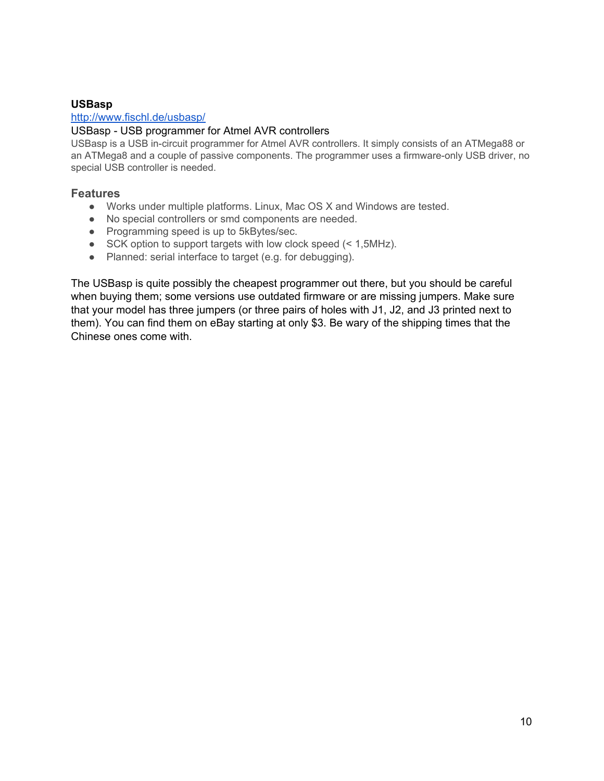### **USBasp**

### <http://www.fischl.de/usbasp/>

### USBasp - USB programmer for Atmel AVR controllers

USBasp is a USB in-circuit programmer for Atmel AVR controllers. It simply consists of an ATMega88 or an ATMega8 and a couple of passive components. The programmer uses a firmware-only USB driver, no special USB controller is needed.

### **Features**

- Works under multiple platforms. Linux, Mac OS X and Windows are tested.
- No special controllers or smd components are needed.
- Programming speed is up to 5kBytes/sec.
- SCK option to support targets with low clock speed (< 1,5MHz).
- Planned: serial interface to target (e.g. for debugging).

The USBasp is quite possibly the cheapest programmer out there, but you should be careful when buying them; some versions use outdated firmware or are missing jumpers. Make sure that your model has three jumpers (or three pairs of holes with J1, J2, and J3 printed next to them). You can find them on eBay starting at only \$3. Be wary of the shipping times that the Chinese ones come with.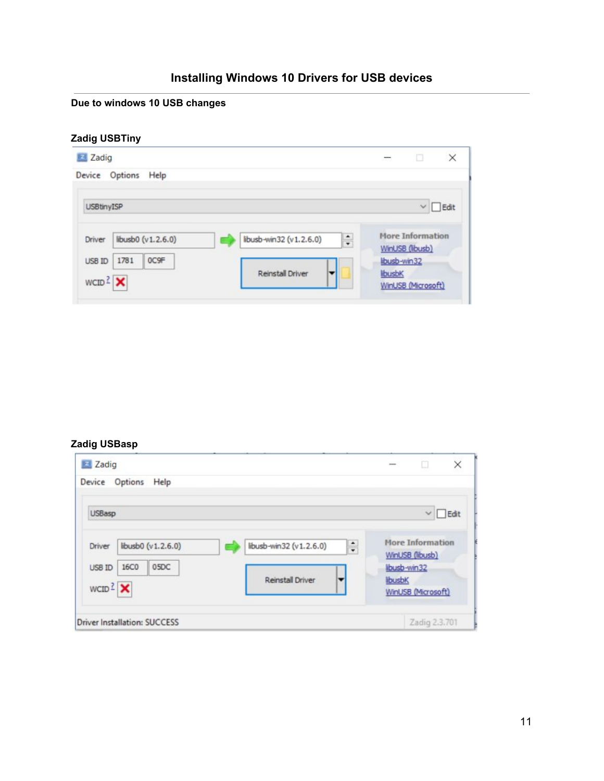# **Installing Windows 10 Drivers for USB devices**

# **Due to windows 10 USB changes**

# **Zadig USBTiny**

| Zadig                                             |                                       | $\times$<br>u<br>$\sim$                              |
|---------------------------------------------------|---------------------------------------|------------------------------------------------------|
| Options<br>Help<br>Device                         |                                       |                                                      |
| <b>USBtinyISP</b>                                 |                                       | $\vee$ $\Box$ Edit                                   |
| libusb0 (v1.2.6.0)<br>Driver                      | $\ddot{•}$<br>libusb-win32 (v1.2.6.0) | <b>More Information</b><br>WinUSB (libusb)           |
| 0C9F<br>1781<br><b>USB ID</b><br>$WCID2$ $\times$ | <b>Reinstall Driver</b>               | libusb-win32<br><b>libusbK</b><br>WinUSB (Microsoft) |

# **Zadig USBasp**

| Zadig                                                                            | ×<br>n<br>10000                            |
|----------------------------------------------------------------------------------|--------------------------------------------|
| Options<br>Help<br>Device                                                        |                                            |
| <b>USBasp</b>                                                                    | $\Box$ Edit<br>$\checkmark$                |
| $\ddot{\cdot}$<br>libusb-win32 (v1.2.6.0)<br>libusb0 (v1.2.6.0)<br><b>Driver</b> | <b>More Information</b><br>WinUSB (libusb) |
| 05DC<br><b>16C0</b><br>USB ID<br><b>Reinstall Driver</b><br>$WCID2$ $\times$     | libusb-win32<br>libusbK                    |